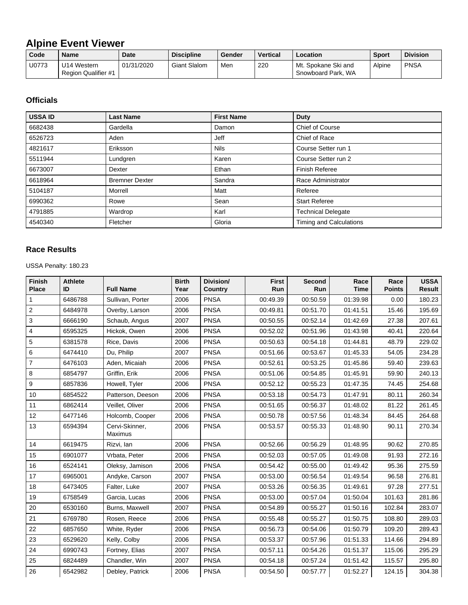## **Alpine Event Viewer**

| Code  | <b>Name</b>                        | <b>Date</b> | <b>Discipline</b>   | Gender | <b>Vertical</b> | Location                                  | <b>Sport</b> | <b>Division</b> |
|-------|------------------------------------|-------------|---------------------|--------|-----------------|-------------------------------------------|--------------|-----------------|
| U0773 | U14 Western<br>Region Qualifier #1 | 01/31/2020  | <b>Giant Slalom</b> | Men    | 220             | Mt. Spokane Ski and<br>Snowboard Park, WA | Alpine       | <b>PNSA</b>     |

## **Officials**

| <b>USSA ID</b> | <b>Last Name</b>      | <b>First Name</b> | <b>Duty</b>               |
|----------------|-----------------------|-------------------|---------------------------|
| 6682438        | Gardella              | Damon             | Chief of Course           |
| 6526723        | Aden                  | <b>Jeff</b>       | Chief of Race             |
| 4821617        | Eriksson              | <b>Nils</b>       | Course Setter run 1       |
| 5511944        | Lundgren              | Karen             | Course Setter run 2       |
| 6673007        | Dexter                | Ethan             | <b>Finish Referee</b>     |
| 6618964        | <b>Bremner Dexter</b> | Sandra            | Race Administrator        |
| 5104187        | Morrell               | Matt              | Referee                   |
| 6990362        | Rowe                  | Sean              | <b>Start Referee</b>      |
| 4791885        | Wardrop               | Karl              | <b>Technical Delegate</b> |
| 4540340        | Fletcher              | Gloria            | Timing and Calculations   |

## **Race Results**

USSA Penalty: 180.23

| <b>Finish</b><br><b>Place</b> | <b>Athlete</b><br>ID | <b>Full Name</b>                 | <b>Birth</b><br>Year | Division/<br>Country | <b>First</b><br>Run | <b>Second</b><br>Run | Race<br><b>Time</b> | Race<br><b>Points</b> | <b>USSA</b><br><b>Result</b> |
|-------------------------------|----------------------|----------------------------------|----------------------|----------------------|---------------------|----------------------|---------------------|-----------------------|------------------------------|
| 1                             | 6486788              | Sullivan, Porter                 | 2006                 | <b>PNSA</b>          | 00:49.39            | 00:50.59             | 01:39.98            | 0.00                  | 180.23                       |
| $\overline{c}$                | 6484978              | Overby, Larson                   | 2006                 | <b>PNSA</b>          | 00:49.81            | 00:51.70             | 01:41.51            | 15.46                 | 195.69                       |
| 3                             | 6666190              | Schaub, Angus                    | 2007                 | <b>PNSA</b>          | 00:50.55            | 00:52.14             | 01:42.69            | 27.38                 | 207.61                       |
| 4                             | 6595325              | Hickok, Owen                     | 2006                 | <b>PNSA</b>          | 00:52.02            | 00:51.96             | 01:43.98            | 40.41                 | 220.64                       |
| 5                             | 6381578              | Rice, Davis                      | 2006                 | <b>PNSA</b>          | 00:50.63            | 00:54.18             | 01:44.81            | 48.79                 | 229.02                       |
| 6                             | 6474410              | Du, Philip                       | 2007                 | <b>PNSA</b>          | 00:51.66            | 00:53.67             | 01:45.33            | 54.05                 | 234.28                       |
| 7                             | 6476103              | Aden, Micaiah                    | 2006                 | <b>PNSA</b>          | 00:52.61            | 00:53.25             | 01:45.86            | 59.40                 | 239.63                       |
| 8                             | 6854797              | Griffin, Erik                    | 2006                 | <b>PNSA</b>          | 00:51.06            | 00:54.85             | 01:45.91            | 59.90                 | 240.13                       |
| 9                             | 6857836              | Howell, Tyler                    | 2006                 | <b>PNSA</b>          | 00:52.12            | 00:55.23             | 01:47.35            | 74.45                 | 254.68                       |
| 10                            | 6854522              | Patterson, Deeson                | 2006                 | <b>PNSA</b>          | 00:53.18            | 00:54.73             | 01:47.91            | 80.11                 | 260.34                       |
| 11                            | 6862414              | Veillet, Oliver                  | 2006                 | <b>PNSA</b>          | 00:51.65            | 00:56.37             | 01:48.02            | 81.22                 | 261.45                       |
| 12                            | 6477146              | Holcomb, Cooper                  | 2006                 | <b>PNSA</b>          | 00:50.78            | 00:57.56             | 01:48.34            | 84.45                 | 264.68                       |
| 13                            | 6594394              | Cervi-Skinner,<br><b>Maximus</b> | 2006                 | <b>PNSA</b>          | 00:53.57            | 00:55.33             | 01:48.90            | 90.11                 | 270.34                       |
| 14                            | 6619475              | Rizvi, lan                       | 2006                 | <b>PNSA</b>          | 00:52.66            | 00:56.29             | 01:48.95            | 90.62                 | 270.85                       |
| 15                            | 6901077              | Vrbata, Peter                    | 2006                 | <b>PNSA</b>          | 00:52.03            | 00:57.05             | 01:49.08            | 91.93                 | 272.16                       |
| 16                            | 6524141              | Oleksy, Jamison                  | 2006                 | <b>PNSA</b>          | 00:54.42            | 00:55.00             | 01:49.42            | 95.36                 | 275.59                       |
| 17                            | 6965001              | Andyke, Carson                   | 2007                 | <b>PNSA</b>          | 00:53.00            | 00:56.54             | 01:49.54            | 96.58                 | 276.81                       |
| 18                            | 6473405              | Falter, Luke                     | 2007                 | <b>PNSA</b>          | 00:53.26            | 00:56.35             | 01:49.61            | 97.28                 | 277.51                       |
| 19                            | 6758549              | Garcia, Lucas                    | 2006                 | <b>PNSA</b>          | 00:53.00            | 00:57.04             | 01:50.04            | 101.63                | 281.86                       |
| 20                            | 6530160              | Burns, Maxwell                   | 2007                 | <b>PNSA</b>          | 00:54.89            | 00:55.27             | 01:50.16            | 102.84                | 283.07                       |
| 21                            | 6769780              | Rosen, Reece                     | 2006                 | <b>PNSA</b>          | 00:55.48            | 00:55.27             | 01:50.75            | 108.80                | 289.03                       |
| 22                            | 6857650              | White, Ryder                     | 2006                 | <b>PNSA</b>          | 00:56.73            | 00:54.06             | 01:50.79            | 109.20                | 289.43                       |
| 23                            | 6529620              | Kelly, Colby                     | 2006                 | <b>PNSA</b>          | 00:53.37            | 00:57.96             | 01:51.33            | 114.66                | 294.89                       |
| 24                            | 6990743              | Fortney, Elias                   | 2007                 | <b>PNSA</b>          | 00:57.11            | 00:54.26             | 01:51.37            | 115.06                | 295.29                       |
| 25                            | 6824489              | Chandler, Win                    | 2007                 | <b>PNSA</b>          | 00:54.18            | 00:57.24             | 01:51.42            | 115.57                | 295.80                       |
| 26                            | 6542982              | Debley, Patrick                  | 2006                 | <b>PNSA</b>          | 00:54.50            | 00:57.77             | 01:52.27            | 124.15                | 304.38                       |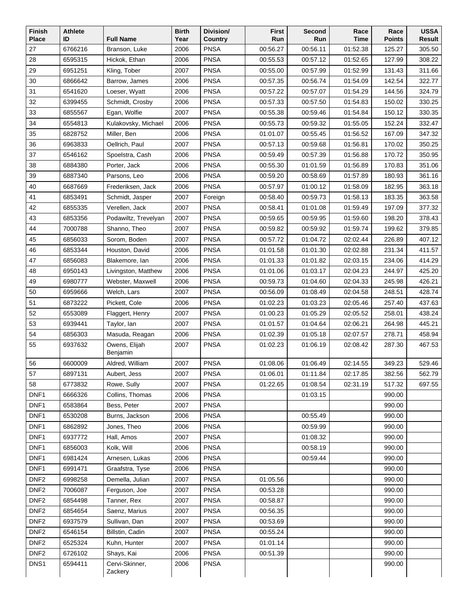| Finish<br><b>Place</b>   | <b>Athlete</b><br>ID | <b>Full Name</b>              | <b>Birth</b><br>Year | Division/                  | <b>First</b><br>Run  | Second               | Race<br><b>Time</b>  | Race<br><b>Points</b> | <b>USSA</b><br><b>Result</b> |
|--------------------------|----------------------|-------------------------------|----------------------|----------------------------|----------------------|----------------------|----------------------|-----------------------|------------------------------|
|                          |                      | Branson, Luke                 |                      | Country<br><b>PNSA</b>     |                      | Run                  |                      |                       |                              |
| 27                       | 6766216<br>6595315   |                               | 2006                 | <b>PNSA</b>                | 00:56.27             | 00:56.11             | 01:52.38             | 125.27                | 305.50<br>308.22             |
| 28                       |                      | Hickok, Ethan                 | 2006                 | <b>PNSA</b>                | 00:55.53             | 00:57.12             | 01:52.65             | 127.99                |                              |
| 29<br>30                 | 6951251<br>6866642   | Kling, Tober<br>Barrow, James | 2007<br>2006         | <b>PNSA</b>                | 00:55.00<br>00:57.35 | 00:57.99<br>00:56.74 | 01:52.99<br>01:54.09 | 131.43<br>142.54      | 311.66<br>322.77             |
| 31                       | 6541620              | Loeser, Wyatt                 | 2006                 | <b>PNSA</b>                | 00:57.22             | 00:57.07             | 01:54.29             | 144.56                | 324.79                       |
| 32                       | 6399455              | Schmidt, Crosby               | 2006                 | <b>PNSA</b>                | 00:57.33             | 00:57.50             | 01:54.83             | 150.02                | 330.25                       |
| 33                       | 6855567              | Egan, Wolfie                  | 2007                 | <b>PNSA</b>                | 00:55.38             | 00:59.46             | 01:54.84             | 150.12                | 330.35                       |
| 34                       | 6554813              | Kulakovsky, Michael           | 2006                 | <b>PNSA</b>                | 00:55.73             | 00:59.32             | 01:55.05             | 152.24                | 332.47                       |
| 35                       | 6828752              | Miller, Ben                   | 2006                 | <b>PNSA</b>                | 01:01.07             | 00:55.45             | 01:56.52             | 167.09                | 347.32                       |
| 36                       | 6963833              | Oellrich, Paul                | 2007                 | <b>PNSA</b>                | 00:57.13             | 00:59.68             | 01:56.81             | 170.02                | 350.25                       |
| 37                       | 6546162              | Spoelstra, Cash               | 2006                 | <b>PNSA</b>                | 00:59.49             | 00:57.39             | 01:56.88             | 170.72                | 350.95                       |
| 38                       | 6884380              | Porter, Jack                  | 2006                 | <b>PNSA</b>                | 00:55.30             | 01:01.59             | 01:56.89             | 170.83                | 351.06                       |
| 39                       | 6887340              | Parsons, Leo                  | 2006                 | <b>PNSA</b>                | 00:59.20             | 00:58.69             | 01:57.89             | 180.93                | 361.16                       |
| 40                       | 6687669              | Frederiksen, Jack             | 2006                 | <b>PNSA</b>                | 00:57.97             | 01:00.12             | 01:58.09             | 182.95                | 363.18                       |
| 41                       | 6853491              | Schmidt, Jasper               | 2007                 | Foreign                    | 00:58.40             | 00:59.73             | 01:58.13             | 183.35                | 363.58                       |
| 42                       | 6855335              | Verellen, Jack                | 2007                 | <b>PNSA</b>                | 00:58.41             | 01:01.08             | 01:59.49             | 197.09                | 377.32                       |
| 43                       | 6853356              | Podawiltz, Trevelyan          | 2007                 | <b>PNSA</b>                | 00:59.65             | 00:59.95             | 01:59.60             | 198.20                | 378.43                       |
| 44                       | 7000788              | Shanno, Theo                  | 2007                 | <b>PNSA</b>                | 00:59.82             | 00:59.92             | 01:59.74             | 199.62                | 379.85                       |
| 45                       | 6856033              | Sorom, Boden                  | 2007                 | <b>PNSA</b>                | 00:57.72             | 01:04.72             | 02:02.44             | 226.89                | 407.12                       |
| 46                       | 6853344              | Houston, David                | 2006                 | <b>PNSA</b>                | 01:01.58             | 01:01.30             | 02:02.88             | 231.34                | 411.57                       |
| 47                       | 6856083              | Blakemore, lan                | 2006                 | <b>PNSA</b>                | 01:01.33             | 01:01.82             | 02:03.15             | 234.06                | 414.29                       |
| 48                       | 6950143              | Livingston, Matthew           | 2006                 | <b>PNSA</b>                | 01:01.06             | 01:03.17             | 02:04.23             | 244.97                | 425.20                       |
| 49                       | 6980777              | Webster, Maxwell              | 2006                 | <b>PNSA</b>                | 00:59.73             | 01:04.60             | 02:04.33             | 245.98                | 426.21                       |
| 50                       | 6959666              | Welch, Lars                   | 2007                 | <b>PNSA</b>                | 00:56.09             | 01:08.49             | 02:04.58             | 248.51                | 428.74                       |
| 51                       | 6873222              | Pickett, Cole                 | 2006                 | <b>PNSA</b>                | 01:02.23             | 01:03.23             | 02:05.46             | 257.40                | 437.63                       |
| 52                       | 6553089              | Flaggert, Henry               | 2007                 | <b>PNSA</b>                | 01:00.23             | 01:05.29             | 02:05.52             | 258.01                | 438.24                       |
| 53                       | 6939441              | Taylor, lan                   | 2007                 | <b>PNSA</b>                | 01:01.57             | 01:04.64             | 02:06.21             | 264.98                | 445.21                       |
| 54                       | 6856303              | Masuda, Reagan                | 2006                 | <b>PNSA</b>                | 01:02.39             | 01:05.18             | 02:07.57             | 278.71                | 458.94                       |
| 55                       | 6937632              | Owens, Elijah                 | 2007                 | <b>PNSA</b>                | 01:02.23             | 01:06.19             | 02:08.42             | 287.30                | 467.53                       |
|                          |                      | Benjamin                      |                      |                            |                      |                      |                      |                       |                              |
| 56                       | 6600009              | Aldred, William               | 2007                 | <b>PNSA</b>                | 01:08.06             | 01:06.49             | 02:14.55             | 349.23                | 529.46                       |
| 57                       | 6897131              | Aubert, Jess                  | 2007                 | <b>PNSA</b>                | 01:06.01             | 01:11.84             | 02:17.85             | 382.56                | 562.79                       |
| 58                       | 6773832              | Rowe, Sully                   | 2007                 | <b>PNSA</b>                | 01:22.65             | 01:08.54             | 02:31.19             | 517.32                | 697.55                       |
| DNF1                     | 6666326              | Collins, Thomas               | 2006                 | <b>PNSA</b>                |                      | 01:03.15             |                      | 990.00                |                              |
| DNF1                     | 6583864              | Bess, Peter                   | 2007                 | <b>PNSA</b>                |                      |                      |                      | 990.00                |                              |
| DNF1<br>DNF <sub>1</sub> | 6530208<br>6862892   | Burns, Jackson                | 2006                 | <b>PNSA</b><br><b>PNSA</b> |                      | 00:55.49             |                      | 990.00<br>990.00      |                              |
| DNF1                     | 6937772              | Jones, Theo<br>Hall, Amos     | 2006<br>2007         | <b>PNSA</b>                |                      | 00:59.99<br>01:08.32 |                      | 990.00                |                              |
| DNF1                     | 6856003              | Kolk, Will                    | 2006                 | <b>PNSA</b>                |                      | 00:58.19             |                      | 990.00                |                              |
| DNF1                     | 6981424              | Arnesen, Lukas                | 2006                 | <b>PNSA</b>                |                      | 00:59.44             |                      | 990.00                |                              |
| DNF1                     | 6991471              | Graafstra, Tyse               | 2006                 | <b>PNSA</b>                |                      |                      |                      | 990.00                |                              |
| DNF <sub>2</sub>         | 6998258              | Demella, Julian               | 2007                 | <b>PNSA</b>                | 01:05.56             |                      |                      | 990.00                |                              |
| DNF <sub>2</sub>         | 7006087              | Ferguson, Joe                 | 2007                 | <b>PNSA</b>                | 00:53.28             |                      |                      | 990.00                |                              |
| DNF <sub>2</sub>         | 6854498              | Tanner, Rex                   | 2007                 | <b>PNSA</b>                | 00:58.87             |                      |                      | 990.00                |                              |
| DNF <sub>2</sub>         | 6854654              | Saenz, Marius                 | 2007                 | <b>PNSA</b>                | 00:56.35             |                      |                      | 990.00                |                              |
| DNF <sub>2</sub>         | 6937579              | Sullivan, Dan                 | 2007                 | <b>PNSA</b>                | 00:53.69             |                      |                      | 990.00                |                              |
| DNF <sub>2</sub>         | 6546154              | Billstin, Cadin               | 2007                 | <b>PNSA</b>                | 00:55.24             |                      |                      | 990.00                |                              |
| DNF <sub>2</sub>         | 6525324              | Kuhn, Hunter                  | 2007                 | <b>PNSA</b>                | 01:01.14             |                      |                      | 990.00                |                              |
| DNF <sub>2</sub>         | 6726102              | Shays, Kai                    | 2006                 | <b>PNSA</b>                | 00:51.39             |                      |                      | 990.00                |                              |
| DNS <sub>1</sub>         | 6594411              | Cervi-Skinner,                | 2006                 | <b>PNSA</b>                |                      |                      |                      | 990.00                |                              |
|                          |                      | Zackery                       |                      |                            |                      |                      |                      |                       |                              |